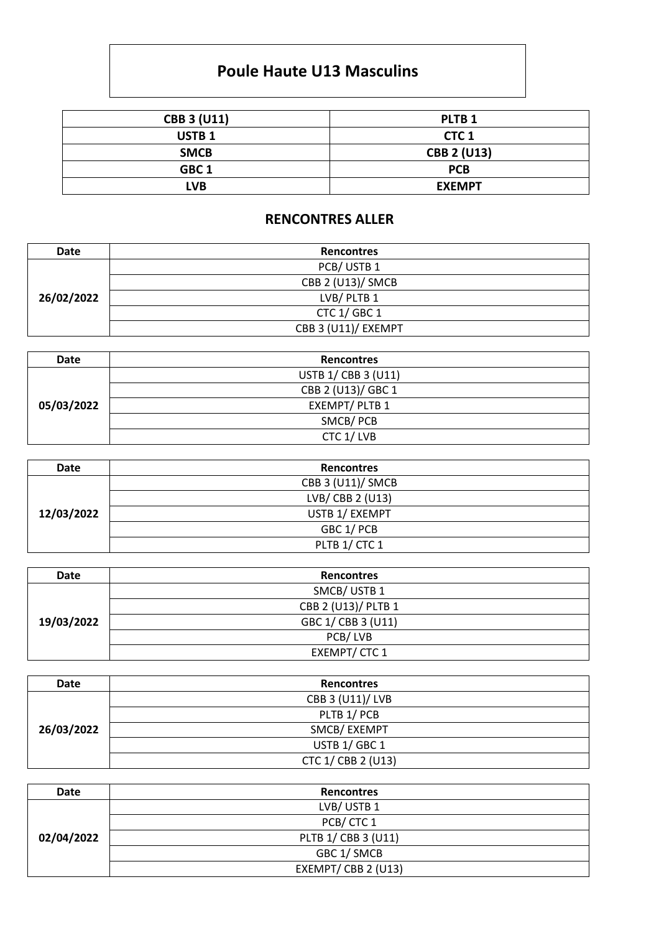## **Poule Haute U13 Masculins**

| <b>CBB 3 (U11)</b> | PLTB <sub>1</sub>  |
|--------------------|--------------------|
| USTB <sub>1</sub>  | CTC <sub>1</sub>   |
| <b>SMCB</b>        | <b>CBB 2 (U13)</b> |
| GBC <sub>1</sub>   | <b>PCB</b>         |
| <b>LVB</b>         | <b>EXEMPT</b>      |

## **RENCONTRES ALLER**

| Date       | <b>Rencontres</b>   |  |
|------------|---------------------|--|
| 26/02/2022 | PCB/USTB1           |  |
|            | CBB 2 (U13)/ SMCB   |  |
|            | LVB/PLTB1           |  |
|            | CTC 1/ GBC 1        |  |
|            | CBB 3 (U11)/ EXEMPT |  |

| Date       | <b>Rencontres</b>   |  |
|------------|---------------------|--|
| 05/03/2022 | USTB 1/ CBB 3 (U11) |  |
|            | CBB 2 (U13)/ GBC 1  |  |
|            | EXEMPT/PLTB 1       |  |
|            | SMCB/PCB            |  |
|            | CTC 1/LVB           |  |

| Date       | <b>Rencontres</b> |
|------------|-------------------|
| 12/03/2022 | CBB 3 (U11)/ SMCB |
|            | LVB/ CBB 2 (U13)  |
|            | USTB 1/ EXEMPT    |
|            | GBC 1/ PCB        |
|            | PLTB 1/ CTC 1     |

| Date       | <b>Rencontres</b>   |
|------------|---------------------|
| 19/03/2022 | SMCB/USTB1          |
|            | CBB 2 (U13)/ PLTB 1 |
|            | GBC 1/ CBB 3 (U11)  |
|            | PCB/LVB             |
|            | EXEMPT/CTC1         |

| Date       | <b>Rencontres</b>  |
|------------|--------------------|
| 26/03/2022 | CBB 3 (U11)/ LVB   |
|            | PLTB 1/ PCB        |
|            | SMCB/EXEMPT        |
|            | USTB 1/ GBC 1      |
|            | CTC 1/ CBB 2 (U13) |

| Date       | <b>Rencontres</b>   |
|------------|---------------------|
| 02/04/2022 | LVB/USTB1           |
|            | PCB/CTC1            |
|            | PLTB 1/ CBB 3 (U11) |
|            | GBC 1/ SMCB         |
|            | EXEMPT/CBB 2 (U13)  |